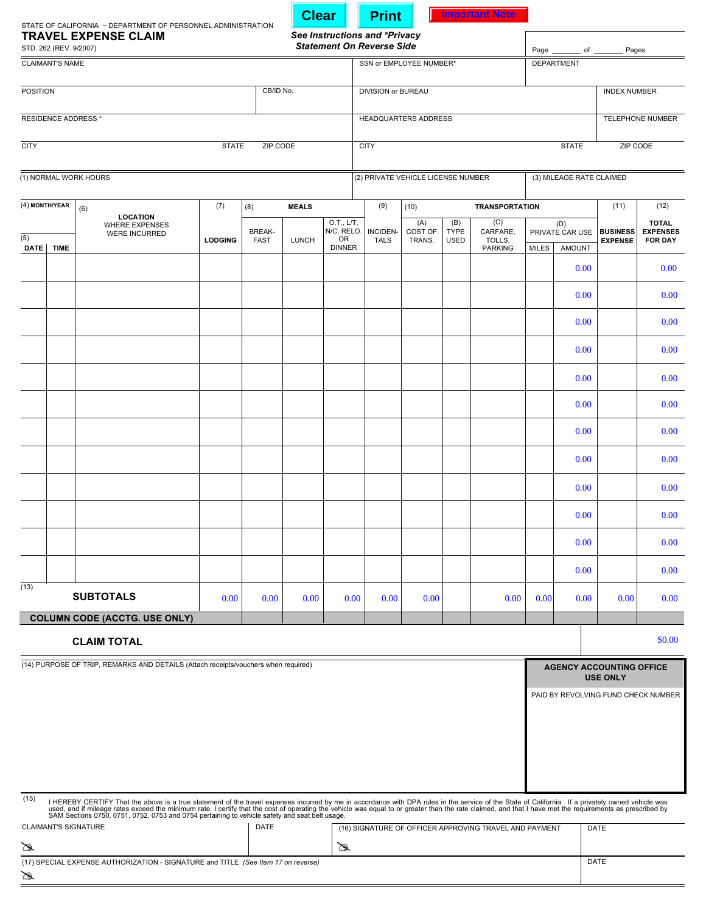|                                                                                                                                                                                                                                                                                                                                                                                                              |                                                                                   |                |                              | <b>Clear</b> |                                                 | <b>Print</b>                                                      |                                    |                                   | <b>Important Note</b>     |                                    |                                     |                                                    |                                                   |  |
|--------------------------------------------------------------------------------------------------------------------------------------------------------------------------------------------------------------------------------------------------------------------------------------------------------------------------------------------------------------------------------------------------------------|-----------------------------------------------------------------------------------|----------------|------------------------------|--------------|-------------------------------------------------|-------------------------------------------------------------------|------------------------------------|-----------------------------------|---------------------------|------------------------------------|-------------------------------------|----------------------------------------------------|---------------------------------------------------|--|
| STATE OF CALIFORNIA - DEPARTMENT OF PERSONNEL ADMINISTRATION<br><b>TRAVEL EXPENSE CLAIM</b><br>STD. 262 (REV. 9/2007)                                                                                                                                                                                                                                                                                        |                                                                                   |                |                              |              |                                                 | See Instructions and *Privacy<br><b>Statement On Reverse Side</b> |                                    |                                   |                           | Pages<br>Page $\_\_\_\_$ of $\_\_$ |                                     |                                                    |                                                   |  |
| <b>CLAIMANT'S NAME</b>                                                                                                                                                                                                                                                                                                                                                                                       |                                                                                   |                |                              |              | SSN or EMPLOYEE NUMBER*                         |                                                                   |                                    |                                   |                           | <b>DEPARTMENT</b>                  |                                     |                                                    |                                                   |  |
| <b>POSITION</b><br>CB/ID No.                                                                                                                                                                                                                                                                                                                                                                                 |                                                                                   |                |                              |              |                                                 | DIVISION or BUREAU                                                |                                    |                                   |                           | <b>INDEX NUMBER</b>                |                                     |                                                    |                                                   |  |
| RESIDENCE ADDRESS *                                                                                                                                                                                                                                                                                                                                                                                          |                                                                                   |                |                              |              | HEADQUARTERS ADDRESS                            |                                                                   |                                    |                                   |                           | TELEPHONE NUMBER                   |                                     |                                                    |                                                   |  |
| <b>CITY</b><br><b>STATE</b><br>ZIP CODE                                                                                                                                                                                                                                                                                                                                                                      |                                                                                   |                |                              |              |                                                 | <b>CITY</b>                                                       |                                    |                                   |                           | <b>STATE</b>                       |                                     | ZIP CODE                                           |                                                   |  |
| (1) NORMAL WORK HOURS                                                                                                                                                                                                                                                                                                                                                                                        |                                                                                   |                |                              |              |                                                 |                                                                   | (2) PRIVATE VEHICLE LICENSE NUMBER |                                   |                           |                                    | (3) MILEAGE RATE CLAIMED            |                                                    |                                                   |  |
| (4) MONTH/YEAR                                                                                                                                                                                                                                                                                                                                                                                               | (6)<br><b>LOCATION</b><br><b>WHERE EXPENSES</b><br><b>WERE INCURRED</b>           | (7)            | (8)                          | <b>MEALS</b> |                                                 | (9)                                                               | (10)                               |                                   | <b>TRANSPORTATION</b>     |                                    |                                     | (11)                                               | (12)                                              |  |
| $\overline{(5)}$                                                                                                                                                                                                                                                                                                                                                                                             |                                                                                   | <b>LODGING</b> | <b>BREAK-</b><br><b>FAST</b> | <b>LUNCH</b> | O.T., L/T,<br>N/C, RELO.<br>OR<br><b>DINNER</b> | INCIDEN-<br><b>TALS</b>                                           | (A)<br>COST OF<br>TRANS.           | (B)<br><b>TYPE</b><br><b>USED</b> | (C)<br>CARFARE,<br>TOLLS, | (D)<br>PRIVATE CAR USE   BUSINESS  |                                     | <b>EXPENSE</b>                                     | <b>TOTAL</b><br><b>EXPENSES</b><br><b>FOR DAY</b> |  |
| DATE<br><b>TIME</b>                                                                                                                                                                                                                                                                                                                                                                                          |                                                                                   |                |                              |              |                                                 |                                                                   |                                    |                                   | <b>PARKING</b>            | <b>MILES</b>                       | <b>AMOUNT</b><br>0.00               |                                                    | 0.00                                              |  |
|                                                                                                                                                                                                                                                                                                                                                                                                              |                                                                                   |                |                              |              |                                                 |                                                                   |                                    |                                   |                           |                                    | 0.00                                |                                                    | 0.00                                              |  |
|                                                                                                                                                                                                                                                                                                                                                                                                              |                                                                                   |                |                              |              |                                                 |                                                                   |                                    |                                   |                           |                                    | 0.00                                |                                                    | 0.00                                              |  |
|                                                                                                                                                                                                                                                                                                                                                                                                              |                                                                                   |                |                              |              |                                                 |                                                                   |                                    |                                   |                           |                                    | 0.00                                |                                                    | 0.00                                              |  |
|                                                                                                                                                                                                                                                                                                                                                                                                              |                                                                                   |                |                              |              |                                                 |                                                                   |                                    |                                   |                           |                                    | 0.00                                |                                                    | 0.00                                              |  |
|                                                                                                                                                                                                                                                                                                                                                                                                              |                                                                                   |                |                              |              |                                                 |                                                                   |                                    |                                   |                           |                                    | 0.00                                |                                                    | 0.00                                              |  |
|                                                                                                                                                                                                                                                                                                                                                                                                              |                                                                                   |                |                              |              |                                                 |                                                                   |                                    |                                   |                           |                                    | 0.00                                |                                                    | 0.00                                              |  |
|                                                                                                                                                                                                                                                                                                                                                                                                              |                                                                                   |                |                              |              |                                                 |                                                                   |                                    |                                   |                           |                                    | 0.00                                |                                                    | 0.00                                              |  |
|                                                                                                                                                                                                                                                                                                                                                                                                              |                                                                                   |                |                              |              |                                                 |                                                                   |                                    |                                   |                           |                                    | 0.00                                |                                                    | 0.00                                              |  |
|                                                                                                                                                                                                                                                                                                                                                                                                              |                                                                                   |                |                              |              |                                                 |                                                                   |                                    |                                   |                           |                                    | 0.00                                |                                                    | 0.00                                              |  |
|                                                                                                                                                                                                                                                                                                                                                                                                              |                                                                                   |                |                              |              |                                                 |                                                                   |                                    |                                   |                           |                                    | 0.00                                |                                                    | 0.00                                              |  |
|                                                                                                                                                                                                                                                                                                                                                                                                              |                                                                                   |                |                              |              |                                                 |                                                                   |                                    |                                   |                           |                                    | 0.00                                |                                                    | 0.00                                              |  |
| (13)                                                                                                                                                                                                                                                                                                                                                                                                         | <b>SUBTOTALS</b>                                                                  | 0.00           | 0.00                         | 0.00         | 0.00                                            | 0.00                                                              | 0.00                               |                                   | 0.00                      | 0.00                               | 0.00                                | 0.00                                               | 0.00                                              |  |
|                                                                                                                                                                                                                                                                                                                                                                                                              | <b>COLUMN CODE (ACCTG. USE ONLY)</b>                                              |                |                              |              |                                                 |                                                                   |                                    |                                   |                           |                                    |                                     |                                                    |                                                   |  |
| \$0.00<br><b>CLAIM TOTAL</b>                                                                                                                                                                                                                                                                                                                                                                                 |                                                                                   |                |                              |              |                                                 |                                                                   |                                    |                                   |                           |                                    |                                     |                                                    |                                                   |  |
| (14) PURPOSE OF TRIP, REMARKS AND DETAILS (Attach receipts/vouchers when required)                                                                                                                                                                                                                                                                                                                           |                                                                                   |                |                              |              |                                                 |                                                                   |                                    |                                   |                           |                                    |                                     | <b>AGENCY ACCOUNTING OFFICE</b><br><b>USE ONLY</b> |                                                   |  |
|                                                                                                                                                                                                                                                                                                                                                                                                              |                                                                                   |                |                              |              |                                                 |                                                                   |                                    |                                   |                           |                                    | PAID BY REVOLVING FUND CHECK NUMBER |                                                    |                                                   |  |
|                                                                                                                                                                                                                                                                                                                                                                                                              |                                                                                   |                |                              |              |                                                 |                                                                   |                                    |                                   |                           |                                    |                                     |                                                    |                                                   |  |
|                                                                                                                                                                                                                                                                                                                                                                                                              |                                                                                   |                |                              |              |                                                 |                                                                   |                                    |                                   |                           |                                    |                                     |                                                    |                                                   |  |
| used, and if mileage rates exceed the minimum rate, I certify that the cost of operating the vehicle was equal to or greater than the rate claimed, and that I have met the requirements as prescribed by<br>SAM Sections 0750, 0751, 0752, 0753 and 0754 pertaining to vehicle safety and seat belt usage.<br><b>CLAIMANT'S SIGNATURE</b><br>DATE<br>(16) SIGNATURE OF OFFICER APPROVING TRAVEL AND PAYMENT |                                                                                   |                |                              |              |                                                 |                                                                   |                                    |                                   |                           |                                    | DATE                                |                                                    |                                                   |  |
| Á<br>☎                                                                                                                                                                                                                                                                                                                                                                                                       |                                                                                   |                |                              |              |                                                 |                                                                   |                                    |                                   |                           | DATE                               |                                     |                                                    |                                                   |  |
|                                                                                                                                                                                                                                                                                                                                                                                                              | (17) SPECIAL EXPENSE AUTHORIZATION - SIGNATURE and TITLE (See Item 17 on reverse) |                |                              |              |                                                 |                                                                   |                                    |                                   |                           |                                    |                                     |                                                    |                                                   |  |